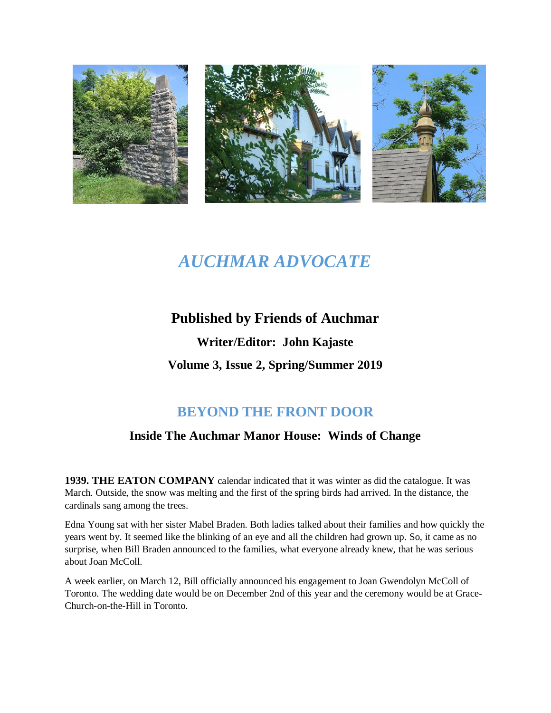

# *AUCHMAR ADVOCATE*

# **Published by Friends of Auchmar Writer/Editor: John Kajaste**

**Volume 3, Issue 2, Spring/Summer 2019**

# **BEYOND THE FRONT DOOR**

### **Inside The Auchmar Manor House: Winds of Change**

**1939. THE EATON COMPANY** calendar indicated that it was winter as did the catalogue. It was March. Outside, the snow was melting and the first of the spring birds had arrived. In the distance, the cardinals sang among the trees.

Edna Young sat with her sister Mabel Braden. Both ladies talked about their families and how quickly the years went by. It seemed like the blinking of an eye and all the children had grown up. So, it came as no surprise, when Bill Braden announced to the families, what everyone already knew, that he was serious about Joan McColl.

A week earlier, on March 12, Bill officially announced his engagement to Joan Gwendolyn McColl of Toronto. The wedding date would be on December 2nd of this year and the ceremony would be at Grace-Church-on-the-Hill in Toronto.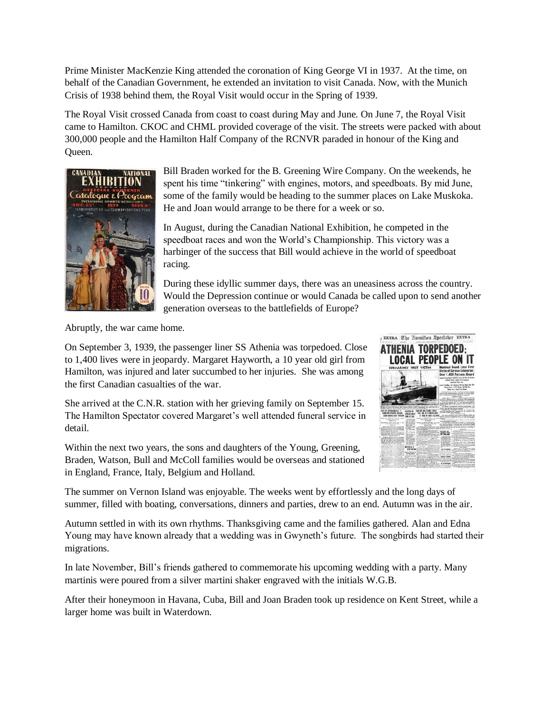Prime Minister MacKenzie King attended the coronation of King George VI in 1937. At the time, on behalf of the Canadian Government, he extended an invitation to visit Canada. Now, with the Munich Crisis of 1938 behind them, the Royal Visit would occur in the Spring of 1939.

The Royal Visit crossed Canada from coast to coast during May and June. On June 7, the Royal Visit came to Hamilton. CKOC and CHML provided coverage of the visit. The streets were packed with about 300,000 people and the Hamilton Half Company of the RCNVR paraded in honour of the King and Queen.



Bill Braden worked for the B. Greening Wire Company. On the weekends, he spent his time "tinkering" with engines, motors, and speedboats. By mid June, some of the family would be heading to the summer places on Lake Muskoka. He and Joan would arrange to be there for a week or so.

In August, during the Canadian National Exhibition, he competed in the speedboat races and won the World's Championship. This victory was a harbinger of the success that Bill would achieve in the world of speedboat racing.

During these idyllic summer days, there was an uneasiness across the country. Would the Depression continue or would Canada be called upon to send another generation overseas to the battlefields of Europe?

Abruptly, the war came home.

On September 3, 1939, the passenger liner SS Athenia was torpedoed. Close to 1,400 lives were in jeopardy. Margaret Hayworth, a 10 year old girl from Hamilton, was injured and later succumbed to her injuries. She was among the first Canadian casualties of the war.

She arrived at the C.N.R. station with her grieving family on September 15. The Hamilton Spectator covered Margaret's well attended funeral service in detail.

Within the next two years, the sons and daughters of the Young, Greening, Braden, Watson, Bull and McColl families would be overseas and stationed in England, France, Italy, Belgium and Holland.



The summer on Vernon Island was enjoyable. The weeks went by effortlessly and the long days of summer, filled with boating, conversations, dinners and parties, drew to an end. Autumn was in the air.

Autumn settled in with its own rhythms. Thanksgiving came and the families gathered. Alan and Edna Young may have known already that a wedding was in Gwyneth's future. The songbirds had started their migrations.

In late November, Bill's friends gathered to commemorate his upcoming wedding with a party. Many martinis were poured from a silver martini shaker engraved with the initials W.G.B.

After their honeymoon in Havana, Cuba, Bill and Joan Braden took up residence on Kent Street, while a larger home was built in Waterdown.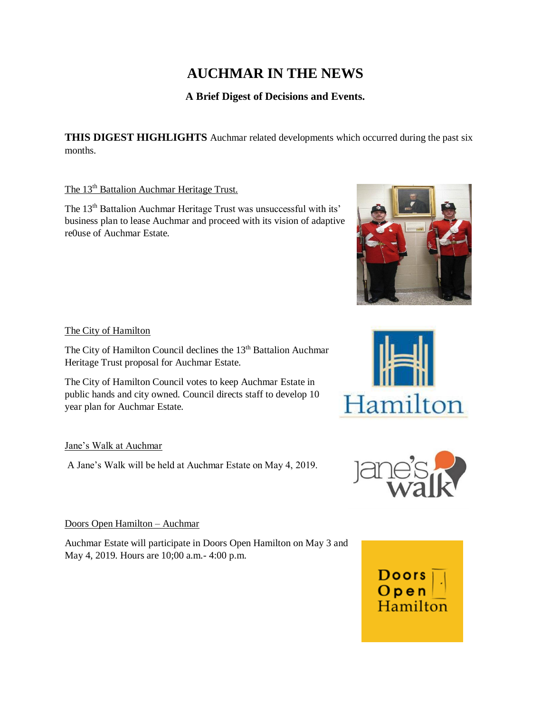# **AUCHMAR IN THE NEWS**

### **A Brief Digest of Decisions and Events.**

**THIS DIGEST HIGHLIGHTS** Auchmar related developments which occurred during the past six months.

#### The 13<sup>th</sup> Battalion Auchmar Heritage Trust.

The 13<sup>th</sup> Battalion Auchmar Heritage Trust was unsuccessful with its' business plan to lease Auchmar and proceed with its vision of adaptive re0use of Auchmar Estate.

#### The City of Hamilton

The City of Hamilton Council declines the 13<sup>th</sup> Battalion Auchmar Heritage Trust proposal for Auchmar Estate.

The City of Hamilton Council votes to keep Auchmar Estate in public hands and city owned. Council directs staff to develop 10 year plan for Auchmar Estate.

#### Jane's Walk at Auchmar

A Jane's Walk will be held at Auchmar Estate on May 4, 2019.

#### Doors Open Hamilton – Auchmar

Auchmar Estate will participate in Doors Open Hamilton on May 3 and May 4, 2019. Hours are 10;00 a.m.- 4:00 p.m.







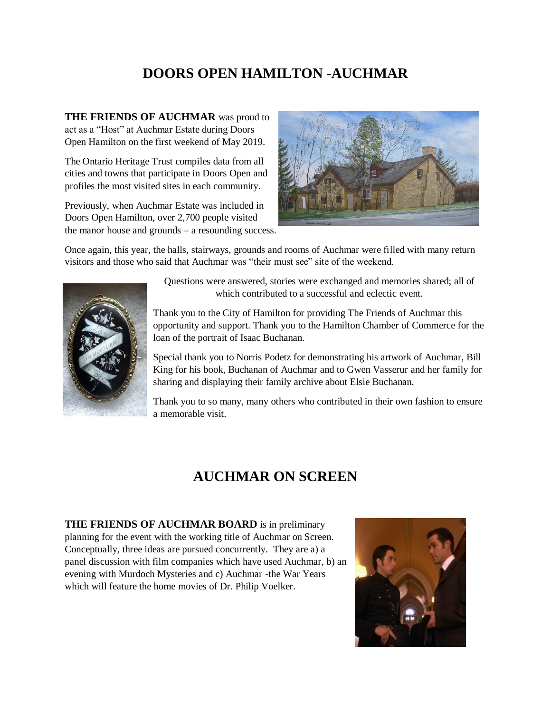## **DOORS OPEN HAMILTON -AUCHMAR**

**THE FRIENDS OF AUCHMAR** was proud to act as a "Host" at Auchmar Estate during Doors Open Hamilton on the first weekend of May 2019.

The Ontario Heritage Trust compiles data from all cities and towns that participate in Doors Open and profiles the most visited sites in each community.

Previously, when Auchmar Estate was included in Doors Open Hamilton, over 2,700 people visited the manor house and grounds – a resounding success.



Once again, this year, the halls, stairways, grounds and rooms of Auchmar were filled with many return visitors and those who said that Auchmar was "their must see" site of the weekend.



Questions were answered, stories were exchanged and memories shared; all of which contributed to a successful and eclectic event.

Thank you to the City of Hamilton for providing The Friends of Auchmar this opportunity and support. Thank you to the Hamilton Chamber of Commerce for the loan of the portrait of Isaac Buchanan.

Special thank you to Norris Podetz for demonstrating his artwork of Auchmar, Bill King for his book, Buchanan of Auchmar and to Gwen Vasserur and her family for sharing and displaying their family archive about Elsie Buchanan.

Thank you to so many, many others who contributed in their own fashion to ensure a memorable visit.

## **AUCHMAR ON SCREEN**

**THE FRIENDS OF AUCHMAR BOARD** is in preliminary planning for the event with the working title of Auchmar on Screen. Conceptually, three ideas are pursued concurrently. They are a) a panel discussion with film companies which have used Auchmar, b) an evening with Murdoch Mysteries and c) Auchmar -the War Years which will feature the home movies of Dr. Philip Voelker.

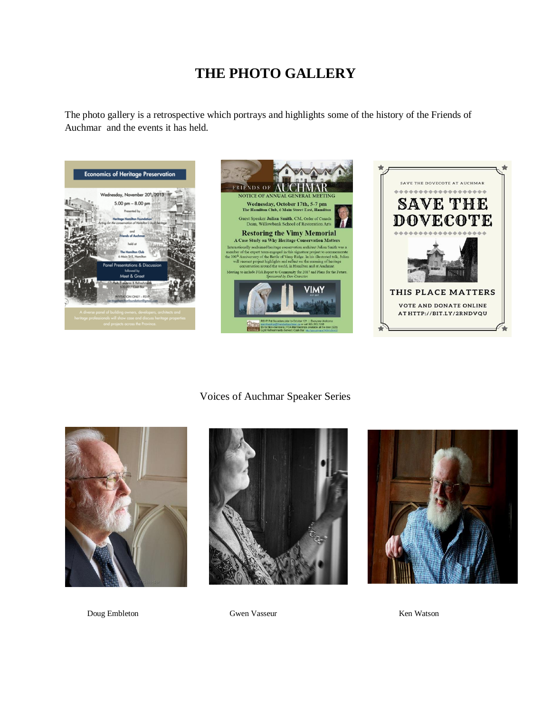## **THE PHOTO GALLERY**

The photo gallery is a retrospective which portrays and highlights some of the history of the Friends of Auchmar and the events it has held.







#### Voices of Auchmar Speaker Series







Doug Embleton Gwen Vasseur Ken Watson